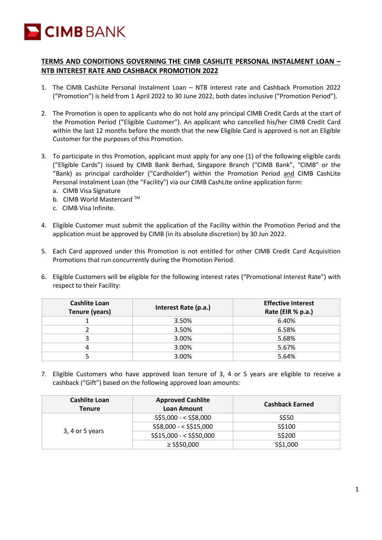

## **TERMS AND CONDITIONS GOVERNING THE CIMB CASHLITE PERSONAL INSTALMENT LOAN – NTB INTEREST RATE AND CASHBACK PROMOTION 2022**

- 1. The CIMB CashLite Personal Instalment Loan NTB interest rate and Cashback Promotion 2022 ("Promotion") is held from 1 April 2022 to 30 June 2022, both dates inclusive ("Promotion Period").
- 2. The Promotion is open to applicants who do not hold any principal CIMB Credit Cards at the start of the Promotion Period ("Eligible Customer"). An applicant who cancelled his/her CIMB Credit Card within the last 12 months before the month that the new Eligible Card is approved is not an Eligible Customer for the purposes of this Promotion.
- 3. To participate in this Promotion, applicant must apply for any one (1) of the following eligible cards ("Eligible Cards") issued by CIMB Bank Berhad, Singapore Branch ("CIMB Bank", "CIMB" or the "Bank) as principal cardholder ("Cardholder") within the Promotion Period and CIMB CashLite Personal Instalment Loan (the "Facility") via our CIMB CashLite online application form:
	- a. CIMB Visa Signature
	- b. CIMB World Mastercard ™
	- c. CIMB Visa Infinite.
- 4. Eligible Customer must submit the application of the Facility within the Promotion Period and the application must be approved by CIMB (in its absolute discretion) by 30 Jun 2022.
- 5. Each Card approved under this Promotion is not entitled for other CIMB Credit Card Acquisition Promotions that run concurrently during the Promotion Period.
- 6. Eligible Customers will be eligible for the following interest rates ("Promotional Interest Rate") with respect to their Facility:

| <b>Cashlite Loan</b><br><b>Tenure (years)</b> | Interest Rate (p.a.) | <b>Effective Interest</b><br>Rate (EIR % p.a.) |
|-----------------------------------------------|----------------------|------------------------------------------------|
|                                               | 3.50%                | 6.40%                                          |
|                                               | 3.50%                | 6.58%                                          |
|                                               | 3.00%                | 5.68%                                          |
|                                               | 3.00%                | 5.67%                                          |
|                                               | 3.00%                | 5.64%                                          |

7. Eligible Customers who have approved loan tenure of 3, 4 or 5 years are eligible to receive a cashback ("Gift") based on the following approved loan amounts:

| <b>Cashlite Loan</b><br><b>Tenure</b> | <b>Approved Cashlite</b><br>Loan Amount | <b>Cashback Earned</b> |
|---------------------------------------|-----------------------------------------|------------------------|
| 3, 4 or 5 years                       | S\$5,000 - < S\$8,000                   | S\$50                  |
|                                       | S\$8,000 - < S\$15,000                  | S\$100                 |
|                                       | S\$15,000 - < S\$50,000                 | S\$200                 |
|                                       | $\ge$ S\$50,000                         | S\$1,000               |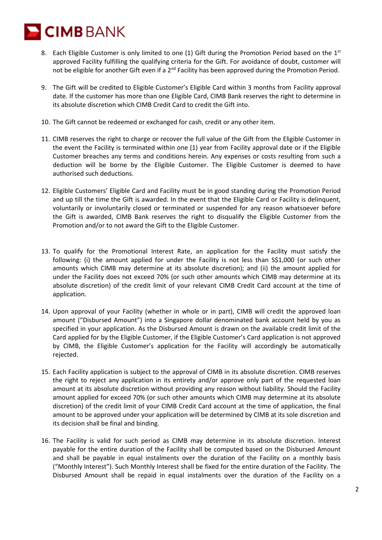**CIMB** BANK

- 8. Each Eligible Customer is only limited to one (1) Gift during the Promotion Period based on the  $1^{st}$ approved Facility fulfilling the qualifying criteria for the Gift. For avoidance of doubt, customer will not be eligible for another Gift even if a  $2^{nd}$  Facility has been approved during the Promotion Period.
- 9. The Gift will be credited to Eligible Customer's Eligible Card within 3 months from Facility approval date. If the customer has more than one Eligible Card, CIMB Bank reserves the right to determine in its absolute discretion which CIMB Credit Card to credit the Gift into.
- 10. The Gift cannot be redeemed or exchanged for cash, credit or any other item.
- 11. CIMB reserves the right to charge or recover the full value of the Gift from the Eligible Customer in the event the Facility is terminated within one (1) year from Facility approval date or if the Eligible Customer breaches any terms and conditions herein. Any expenses or costs resulting from such a deduction will be borne by the Eligible Customer. The Eligible Customer is deemed to have authorised such deductions.
- 12. Eligible Customers' Eligible Card and Facility must be in good standing during the Promotion Period and up till the time the Gift is awarded. In the event that the Eligible Card or Facility is delinquent, voluntarily or involuntarily closed or terminated or suspended for any reason whatsoever before the Gift is awarded, CIMB Bank reserves the right to disqualify the Eligible Customer from the Promotion and/or to not award the Gift to the Eligible Customer.
- 13. To qualify for the Promotional Interest Rate, an application for the Facility must satisfy the following: (i) the amount applied for under the Facility is not less than S\$1,000 (or such other amounts which CIMB may determine at its absolute discretion); and (ii) the amount applied for under the Facility does not exceed 70% (or such other amounts which CIMB may determine at its absolute discretion) of the credit limit of your relevant CIMB Credit Card account at the time of application.
- 14. Upon approval of your Facility (whether in whole or in part), CIMB will credit the approved loan amount ("Disbursed Amount") into a Singapore dollar denominated bank account held by you as specified in your application. As the Disbursed Amount is drawn on the available credit limit of the Card applied for by the Eligible Customer, if the Eligible Customer's Card application is not approved by CIMB, the Eligible Customer's application for the Facility will accordingly be automatically rejected.
- 15. Each Facility application is subject to the approval of CIMB in its absolute discretion. CIMB reserves the right to reject any application in its entirety and/or approve only part of the requested loan amount at its absolute discretion without providing any reason without liability. Should the Facility amount applied for exceed 70% (or such other amounts which CIMB may determine at its absolute discretion) of the credit limit of your CIMB Credit Card account at the time of application, the final amount to be approved under your application will be determined by CIMB at its sole discretion and its decision shall be final and binding.
- 16. The Facility is valid for such period as CIMB may determine in its absolute discretion. Interest payable for the entire duration of the Facility shall be computed based on the Disbursed Amount and shall be payable in equal instalments over the duration of the Facility on a monthly basis ("Monthly Interest"). Such Monthly Interest shall be fixed for the entire duration of the Facility. The Disbursed Amount shall be repaid in equal instalments over the duration of the Facility on a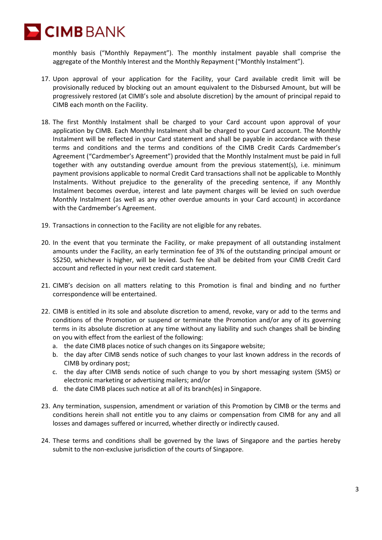

monthly basis ("Monthly Repayment"). The monthly instalment payable shall comprise the aggregate of the Monthly Interest and the Monthly Repayment ("Monthly Instalment").

- 17. Upon approval of your application for the Facility, your Card available credit limit will be provisionally reduced by blocking out an amount equivalent to the Disbursed Amount, but will be progressively restored (at CIMB's sole and absolute discretion) by the amount of principal repaid to CIMB each month on the Facility.
- 18. The first Monthly Instalment shall be charged to your Card account upon approval of your application by CIMB. Each Monthly Instalment shall be charged to your Card account. The Monthly Instalment will be reflected in your Card statement and shall be payable in accordance with these terms and conditions and the terms and conditions of the CIMB Credit Cards Cardmember's Agreement ("Cardmember's Agreement") provided that the Monthly Instalment must be paid in full together with any outstanding overdue amount from the previous statement(s), i.e. minimum payment provisions applicable to normal Credit Card transactions shall not be applicable to Monthly Instalments. Without prejudice to the generality of the preceding sentence, if any Monthly Instalment becomes overdue, interest and late payment charges will be levied on such overdue Monthly Instalment (as well as any other overdue amounts in your Card account) in accordance with the Cardmember's Agreement.
- 19. Transactions in connection to the Facility are not eligible for any rebates.
- 20. In the event that you terminate the Facility, or make prepayment of all outstanding instalment amounts under the Facility, an early termination fee of 3% of the outstanding principal amount or S\$250, whichever is higher, will be levied. Such fee shall be debited from your CIMB Credit Card account and reflected in your next credit card statement.
- 21. CIMB's decision on all matters relating to this Promotion is final and binding and no further correspondence will be entertained.
- 22. CIMB is entitled in its sole and absolute discretion to amend, revoke, vary or add to the terms and conditions of the Promotion or suspend or terminate the Promotion and/or any of its governing terms in its absolute discretion at any time without any liability and such changes shall be binding on you with effect from the earliest of the following:
	- a. the date CIMB places notice of such changes on its Singapore website;
	- b. the day after CIMB sends notice of such changes to your last known address in the records of CIMB by ordinary post;
	- c. the day after CIMB sends notice of such change to you by short messaging system (SMS) or electronic marketing or advertising mailers; and/or
	- d. the date CIMB places such notice at all of its branch(es) in Singapore.
- 23. Any termination, suspension, amendment or variation of this Promotion by CIMB or the terms and conditions herein shall not entitle you to any claims or compensation from CIMB for any and all losses and damages suffered or incurred, whether directly or indirectly caused.
- 24. These terms and conditions shall be governed by the laws of Singapore and the parties hereby submit to the non-exclusive jurisdiction of the courts of Singapore.